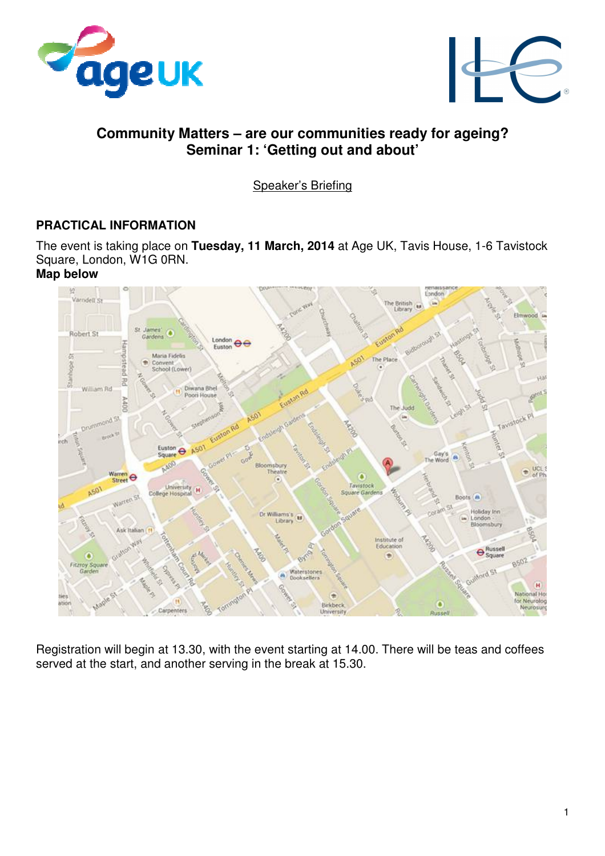



# **Community Matters – are our communities ready for ageing? Seminar 1: 'Getting out and about'**

Speaker's Briefing

# **PRACTICAL INFORMATION**

The event is taking place on **Tuesday, 11 March, 2014** at Age UK, Tavis House, 1-6 Tavistock Square, London, W1G 0RN.

### **Map below**



Registration will begin at 13.30, with the event starting at 14.00. There will be teas and coffees served at the start, and another serving in the break at 15.30.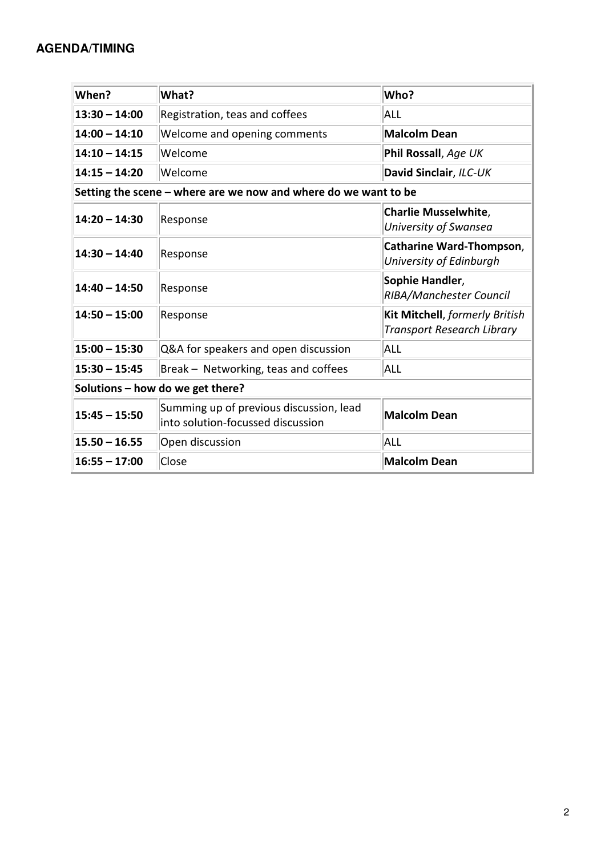## **AGENDA/TIMING**

| When?                                                           | What?                                                                        | Who?                                                                |
|-----------------------------------------------------------------|------------------------------------------------------------------------------|---------------------------------------------------------------------|
| $13:30 - 14:00$                                                 | Registration, teas and coffees                                               | ALL                                                                 |
| $14:00 - 14:10$                                                 | Welcome and opening comments                                                 | <b>Malcolm Dean</b>                                                 |
| $14:10 - 14:15$                                                 | Welcome                                                                      | Phil Rossall, Age UK                                                |
| $14:15 - 14:20$                                                 | Welcome                                                                      | David Sinclair, ILC-UK                                              |
| Setting the scene – where are we now and where do we want to be |                                                                              |                                                                     |
| $14:20 - 14:30$                                                 | Response                                                                     | <b>Charlie Musselwhite,</b><br>University of Swansea                |
| $14:30 - 14:40$                                                 | Response                                                                     | <b>Catharine Ward-Thompson,</b><br>University of Edinburgh          |
| $14:40 - 14:50$                                                 | Response                                                                     | Sophie Handler,<br>RIBA/Manchester Council                          |
| $14:50 - 15:00$                                                 | Response                                                                     | Kit Mitchell, formerly British<br><b>Transport Research Library</b> |
| $15:00 - 15:30$                                                 | Q&A for speakers and open discussion                                         | ALL                                                                 |
| $15:30 - 15:45$                                                 | Break - Networking, teas and coffees                                         | <b>ALL</b>                                                          |
| Solutions - how do we get there?                                |                                                                              |                                                                     |
| $15:45 - 15:50$                                                 | Summing up of previous discussion, lead<br>into solution-focussed discussion | <b>Malcolm Dean</b>                                                 |
| $15.50 - 16.55$                                                 | Open discussion                                                              | <b>ALL</b>                                                          |
| $16:55 - 17:00$                                                 | Close                                                                        | <b>Malcolm Dean</b>                                                 |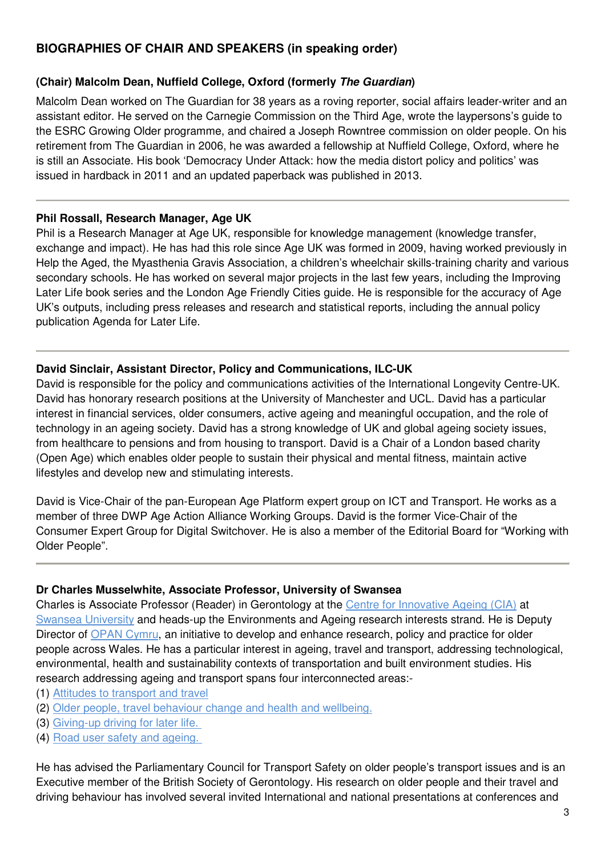# **BIOGRAPHIES OF CHAIR AND SPEAKERS (in speaking order)**

## **(Chair) Malcolm Dean, Nuffield College, Oxford (formerly The Guardian)**

Malcolm Dean worked on The Guardian for 38 years as a roving reporter, social affairs leader-writer and an assistant editor. He served on the Carnegie Commission on the Third Age, wrote the laypersons's guide to the ESRC Growing Older programme, and chaired a Joseph Rowntree commission on older people. On his retirement from The Guardian in 2006, he was awarded a fellowship at Nuffield College, Oxford, where he is still an Associate. His book 'Democracy Under Attack: how the media distort policy and politics' was issued in hardback in 2011 and an updated paperback was published in 2013.

#### **Phil Rossall, Research Manager, Age UK**

Phil is a Research Manager at Age UK, responsible for knowledge management (knowledge transfer, exchange and impact). He has had this role since Age UK was formed in 2009, having worked previously in Help the Aged, the Myasthenia Gravis Association, a children's wheelchair skills-training charity and various secondary schools. He has worked on several major projects in the last few years, including the Improving Later Life book series and the London Age Friendly Cities guide. He is responsible for the accuracy of Age UK's outputs, including press releases and research and statistical reports, including the annual policy publication Agenda for Later Life.

### **David Sinclair, Assistant Director, Policy and Communications, ILC-UK**

David is responsible for the policy and communications activities of the International Longevity Centre-UK. David has honorary research positions at the University of Manchester and UCL. David has a particular interest in financial services, older consumers, active ageing and meaningful occupation, and the role of technology in an ageing society. David has a strong knowledge of UK and global ageing society issues, from healthcare to pensions and from housing to transport. David is a Chair of a London based charity (Open Age) which enables older people to sustain their physical and mental fitness, maintain active lifestyles and develop new and stimulating interests.

David is Vice-Chair of the pan-European Age Platform expert group on ICT and Transport. He works as a member of three DWP Age Action Alliance Working Groups. David is the former Vice-Chair of the Consumer Expert Group for Digital Switchover. He is also a member of the Editorial Board for "Working with Older People".

#### **Dr Charles Musselwhite, Associate Professor, University of Swansea**

Charles is Associate Professor (Reader) in Gerontology at the Centre for Innovative Ageing (CIA) at Swansea University and heads-up the Environments and Ageing research interests strand. He is Deputy Director of OPAN Cymru, an initiative to develop and enhance research, policy and practice for older people across Wales. He has a particular interest in ageing, travel and transport, addressing technological, environmental, health and sustainability contexts of transportation and built environment studies. His research addressing ageing and transport spans four interconnected areas:-

- (1) Attitudes to transport and travel
- (2) Older people, travel behaviour change and health and wellbeing.
- (3) Giving-up driving for later life.
- (4) Road user safety and ageing.

He has advised the Parliamentary Council for Transport Safety on older people's transport issues and is an Executive member of the British Society of Gerontology. His research on older people and their travel and driving behaviour has involved several invited International and national presentations at conferences and